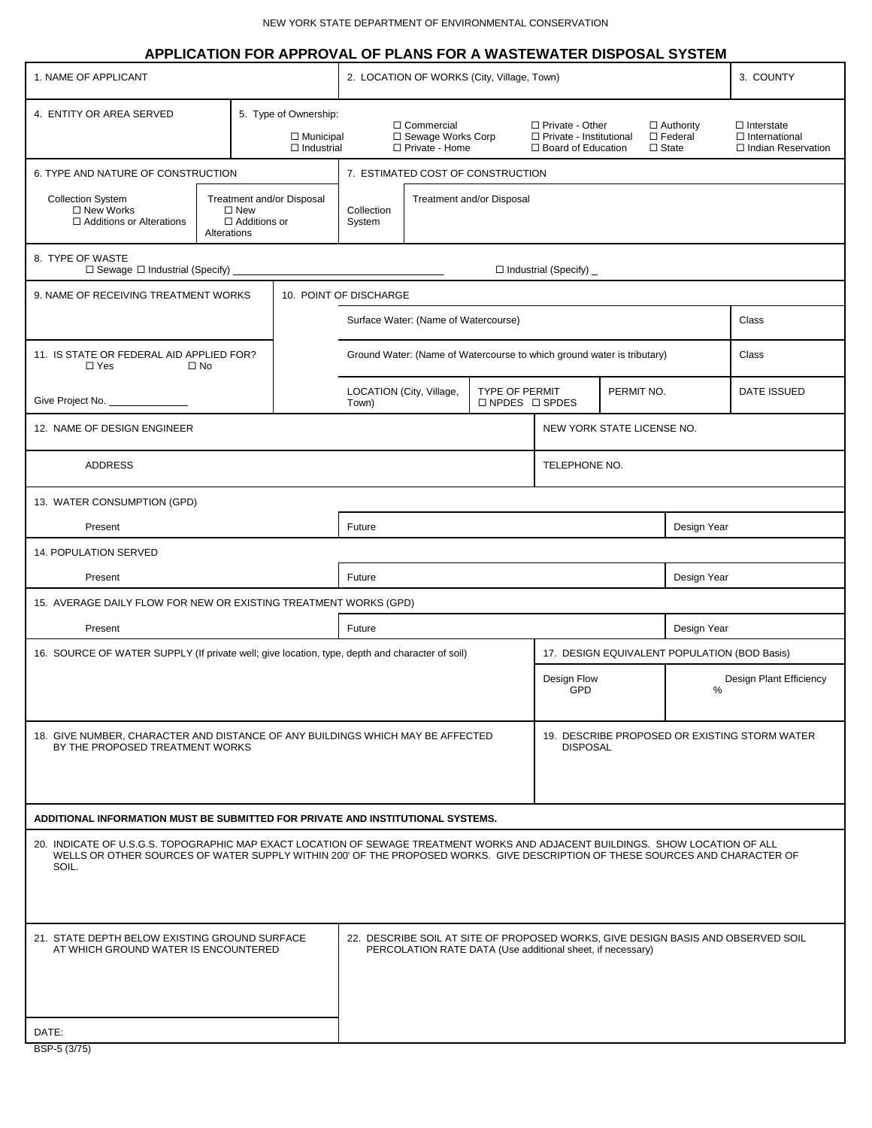|                                                                                                                                                                                                                                                                         |  |  |                                                                |                                                                                                                                                | APPLICATION FOR APPROVAL OF PLANS FOR A WASTEWATER DISPOSAL SYSTEM |                                                                        |                                                                                  |  |                                                       |                                                                   |
|-------------------------------------------------------------------------------------------------------------------------------------------------------------------------------------------------------------------------------------------------------------------------|--|--|----------------------------------------------------------------|------------------------------------------------------------------------------------------------------------------------------------------------|--------------------------------------------------------------------|------------------------------------------------------------------------|----------------------------------------------------------------------------------|--|-------------------------------------------------------|-------------------------------------------------------------------|
| 1. NAME OF APPLICANT                                                                                                                                                                                                                                                    |  |  |                                                                | 2. LOCATION OF WORKS (City, Village, Town)                                                                                                     |                                                                    |                                                                        |                                                                                  |  |                                                       | 3. COUNTY                                                         |
| 4. ENTITY OR AREA SERVED                                                                                                                                                                                                                                                |  |  | 5. Type of Ownership:<br>$\Box$ Municipal<br>$\Box$ Industrial |                                                                                                                                                | □ Commercial<br>□ Sewage Works Corp<br>□ Private - Home            |                                                                        | $\Box$ Private - Other<br>$\Box$ Private - Institutional<br>□ Board of Education |  | $\Box$ Authority<br>$\square$ Federal<br>$\Box$ State | $\Box$ Interstate<br>$\Box$ International<br>□ Indian Reservation |
| 6. TYPE AND NATURE OF CONSTRUCTION                                                                                                                                                                                                                                      |  |  | 7. ESTIMATED COST OF CONSTRUCTION                              |                                                                                                                                                |                                                                    |                                                                        |                                                                                  |  |                                                       |                                                                   |
| <b>Collection System</b><br>Treatment and/or Disposal<br>□ New Works<br>$\square$ New<br>□ Additions or Alterations<br>$\Box$ Additions or<br>Alterations                                                                                                               |  |  | Collection<br>System                                           | Treatment and/or Disposal                                                                                                                      |                                                                    |                                                                        |                                                                                  |  |                                                       |                                                                   |
| 8. TYPE OF WASTE<br>$\Box$ Sewage $\Box$ Industrial (Specify)                                                                                                                                                                                                           |  |  |                                                                |                                                                                                                                                |                                                                    |                                                                        | □ Industrial (Specify) _                                                         |  |                                                       |                                                                   |
| 9. NAME OF RECEIVING TREATMENT WORKS                                                                                                                                                                                                                                    |  |  | 10. POINT OF DISCHARGE                                         |                                                                                                                                                |                                                                    |                                                                        |                                                                                  |  |                                                       |                                                                   |
|                                                                                                                                                                                                                                                                         |  |  | Surface Water: (Name of Watercourse)                           |                                                                                                                                                |                                                                    |                                                                        |                                                                                  |  | Class                                                 |                                                                   |
| 11. IS STATE OR FEDERAL AID APPLIED FOR?<br>$\Box$ Yes<br>$\square$ No                                                                                                                                                                                                  |  |  |                                                                |                                                                                                                                                |                                                                    | Ground Water: (Name of Watercourse to which ground water is tributary) |                                                                                  |  | Class                                                 |                                                                   |
| Give Project No. _                                                                                                                                                                                                                                                      |  |  | LOCATION (City, Village,<br>Town)                              |                                                                                                                                                | <b>TYPE OF PERMIT</b><br>$\square$ NPDES $\square$ SPDES           |                                                                        | PERMIT NO.                                                                       |  | <b>DATE ISSUED</b>                                    |                                                                   |
| 12. NAME OF DESIGN ENGINEER                                                                                                                                                                                                                                             |  |  |                                                                |                                                                                                                                                |                                                                    |                                                                        | NEW YORK STATE LICENSE NO.                                                       |  |                                                       |                                                                   |
| <b>ADDRESS</b>                                                                                                                                                                                                                                                          |  |  |                                                                |                                                                                                                                                |                                                                    | TELEPHONE NO.                                                          |                                                                                  |  |                                                       |                                                                   |
| 13. WATER CONSUMPTION (GPD)                                                                                                                                                                                                                                             |  |  |                                                                |                                                                                                                                                |                                                                    |                                                                        |                                                                                  |  |                                                       |                                                                   |
| Present                                                                                                                                                                                                                                                                 |  |  |                                                                | Future                                                                                                                                         |                                                                    |                                                                        |                                                                                  |  | Design Year                                           |                                                                   |
| 14. POPULATION SERVED                                                                                                                                                                                                                                                   |  |  |                                                                |                                                                                                                                                |                                                                    |                                                                        |                                                                                  |  |                                                       |                                                                   |
| Present                                                                                                                                                                                                                                                                 |  |  |                                                                | Future<br>Design Year                                                                                                                          |                                                                    |                                                                        |                                                                                  |  |                                                       |                                                                   |
| 15. AVERAGE DAILY FLOW FOR NEW OR EXISTING TREATMENT WORKS (GPD)                                                                                                                                                                                                        |  |  |                                                                |                                                                                                                                                |                                                                    |                                                                        |                                                                                  |  |                                                       |                                                                   |
| Present                                                                                                                                                                                                                                                                 |  |  |                                                                | Future                                                                                                                                         |                                                                    |                                                                        | Design Year                                                                      |  |                                                       |                                                                   |
| 16. SOURCE OF WATER SUPPLY (If private well; give location, type, depth and character of soil)                                                                                                                                                                          |  |  |                                                                |                                                                                                                                                |                                                                    |                                                                        | 17. DESIGN EQUIVALENT POPULATION (BOD Basis)                                     |  |                                                       |                                                                   |
|                                                                                                                                                                                                                                                                         |  |  |                                                                |                                                                                                                                                |                                                                    |                                                                        | Design Flow<br>GPD                                                               |  | Design Plant Efficiency<br>%                          |                                                                   |
| 18. GIVE NUMBER, CHARACTER AND DISTANCE OF ANY BUILDINGS WHICH MAY BE AFFECTED<br>BY THE PROPOSED TREATMENT WORKS                                                                                                                                                       |  |  |                                                                |                                                                                                                                                |                                                                    |                                                                        | 19. DESCRIBE PROPOSED OR EXISTING STORM WATER<br><b>DISPOSAL</b>                 |  |                                                       |                                                                   |
| ADDITIONAL INFORMATION MUST BE SUBMITTED FOR PRIVATE AND INSTITUTIONAL SYSTEMS.                                                                                                                                                                                         |  |  |                                                                |                                                                                                                                                |                                                                    |                                                                        |                                                                                  |  |                                                       |                                                                   |
| 20. INDICATE OF U.S.G.S. TOPOGRAPHIC MAP EXACT LOCATION OF SEWAGE TREATMENT WORKS AND ADJACENT BUILDINGS. SHOW LOCATION OF ALL<br>WELLS OR OTHER SOURCES OF WATER SUPPLY WITHIN 200' OF THE PROPOSED WORKS. GIVE DESCRIPTION OF THESE SOURCES AND CHARACTER OF<br>SOIL. |  |  |                                                                |                                                                                                                                                |                                                                    |                                                                        |                                                                                  |  |                                                       |                                                                   |
| 21. STATE DEPTH BELOW EXISTING GROUND SURFACE<br>AT WHICH GROUND WATER IS ENCOUNTERED<br>DATE:                                                                                                                                                                          |  |  |                                                                | 22. DESCRIBE SOIL AT SITE OF PROPOSED WORKS, GIVE DESIGN BASIS AND OBSERVED SOIL<br>PERCOLATION RATE DATA (Use additional sheet, if necessary) |                                                                    |                                                                        |                                                                                  |  |                                                       |                                                                   |